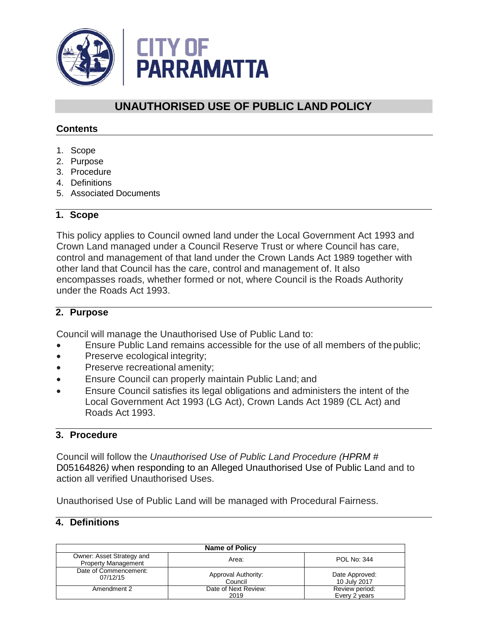

# **UNAUTHORISED USE OF PUBLIC LAND POLICY**

#### **Contents**

- 1. Scope
- 2. Purpose
- 3. Procedure
- 4. Definitions
- 5. Associated Documents

#### **1. Scope**

This policy applies to Council owned land under the Local Government Act 1993 and Crown Land managed under a Council Reserve Trust or where Council has care, control and management of that land under the Crown Lands Act 1989 together with other land that Council has the care, control and management of. It also encompasses roads, whether formed or not, where Council is the Roads Authority under the Roads Act 1993.

#### **2. Purpose**

Council will manage the Unauthorised Use of Public Land to:

- Ensure Public Land remains accessible for the use of all members of thepublic;
- Preserve ecological integrity;
- Preserve recreational amenity;
- Ensure Council can properly maintain Public Land; and
- Ensure Council satisfies its legal obligations and administers the intent of the Local Government Act 1993 (LG Act), Crown Lands Act 1989 (CL Act) and Roads Act 1993.

### **3. Procedure**

Council will follow the *Unauthorised Use of Public Land Procedure (HPRM #*  D05164826*)* when responding to an Alleged Unauthorised Use of Public Land and to action all verified Unauthorised Uses.

Unauthorised Use of Public Land will be managed with Procedural Fairness.

#### **4. Definitions**

| <b>Name of Policy</b>                                   |                                |                                 |  |
|---------------------------------------------------------|--------------------------------|---------------------------------|--|
| Owner: Asset Strategy and<br><b>Property Management</b> | Area:                          | POL No: 344                     |  |
| Date of Commencement:<br>07/12/15                       | Approval Authority:<br>Council | Date Approved:<br>10 July 2017  |  |
| Amendment 2                                             | Date of Next Review:<br>2019   | Review period:<br>Every 2 years |  |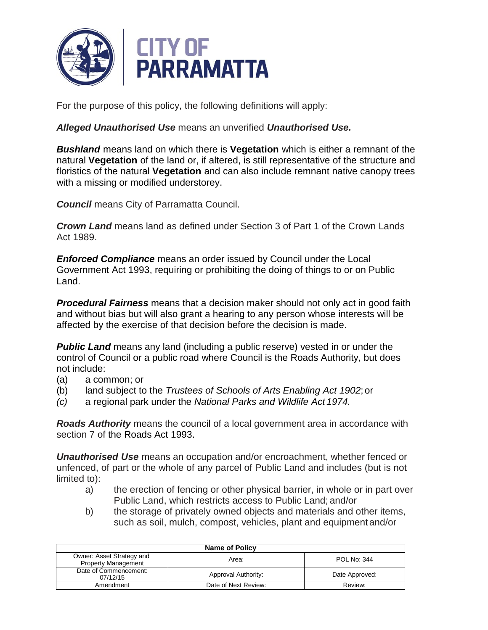

For the purpose of this policy, the following definitions will apply:

#### *Alleged Unauthorised Use* means an unverified *Unauthorised Use.*

*Bushland* means land on which there is **Vegetation** which is either a remnant of the natural **Vegetation** of the land or, if altered, is still representative of the structure and floristics of the natural **Vegetation** and can also include remnant native canopy trees with a missing or modified understorey.

*Council* means City of Parramatta Council.

*Crown Land* means land as defined under Section 3 of Part 1 of the Crown Lands Act 1989.

*Enforced Compliance* means an order issued by Council under the Local Government Act 1993, requiring or prohibiting the doing of things to or on Public Land.

*Procedural Fairness* means that a decision maker should not only act in good faith and without bias but will also grant a hearing to any person whose interests will be affected by the exercise of that decision before the decision is made.

*Public Land* means any land (including a public reserve) vested in or under the control of Council or a public road where Council is the Roads Authority, but does not include:

- (a) a common; or
- (b) land subject to the *Trustees of Schools of Arts Enabling Act 1902*; or
- *(c)* a regional park under the *National Parks and Wildlife Act 1974.*

*Roads Authority* means the council of a local government area in accordance with section 7 of the Roads Act 1993.

*Unauthorised Use* means an occupation and/or encroachment, whether fenced or unfenced, of part or the whole of any parcel of Public Land and includes (but is not limited to):

- a) the erection of fencing or other physical barrier, in whole or in part over Public Land, which restricts access to Public Land; and/or
- b) the storage of privately owned objects and materials and other items, such as soil, mulch, compost, vehicles, plant and equipment and/or

| Name of Policy                                          |                      |                |  |
|---------------------------------------------------------|----------------------|----------------|--|
| Owner: Asset Strategy and<br><b>Property Management</b> | Area:                | POL No: 344    |  |
| Date of Commencement:<br>07/12/15                       | Approval Authority:  | Date Approved: |  |
| Amendment                                               | Date of Next Review: | Review:        |  |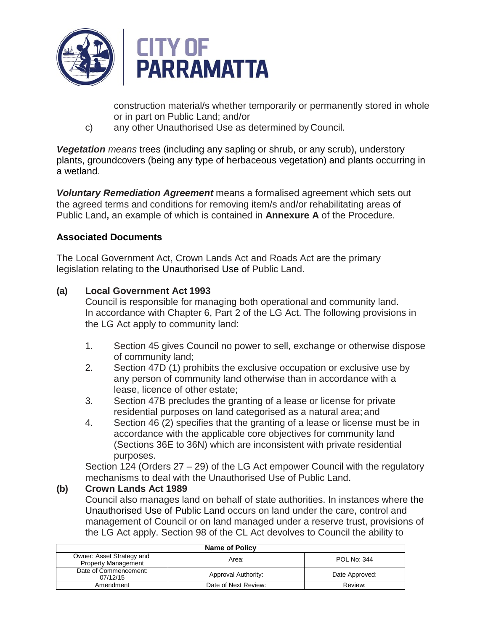

construction material/s whether temporarily or permanently stored in whole or in part on Public Land; and/or

c) any other Unauthorised Use as determined by Council.

*Vegetation means* trees (including any sapling or shrub, or any scrub), understory plants, groundcovers (being any type of herbaceous vegetation) and plants occurring in a wetland.

*Voluntary Remediation Agreement* means a formalised agreement which sets out the agreed terms and conditions for removing item/s and/or rehabilitating areas of Public Land**,** an example of which is contained in **Annexure A** of the Procedure.

# **Associated Documents**

The Local Government Act, Crown Lands Act and Roads Act are the primary legislation relating to the Unauthorised Use of Public Land.

# **(a) Local Government Act 1993**

Council is responsible for managing both operational and community land. In accordance with Chapter 6, Part 2 of the LG Act. The following provisions in the LG Act apply to community land:

- 1. Section 45 gives Council no power to sell, exchange or otherwise dispose of community land;
- 2. Section 47D (1) prohibits the exclusive occupation or exclusive use by any person of community land otherwise than in accordance with a lease, licence of other estate;
- 3. Section 47B precludes the granting of a lease or license for private residential purposes on land categorised as a natural area; and
- 4. Section 46 (2) specifies that the granting of a lease or license must be in accordance with the applicable core objectives for community land (Sections 36E to 36N) which are inconsistent with private residential purposes.

Section 124 (Orders 27 – 29) of the LG Act empower Council with the regulatory mechanisms to deal with the Unauthorised Use of Public Land.

### **(b) Crown Lands Act 1989**

Council also manages land on behalf of state authorities. In instances where the Unauthorised Use of Public Land occurs on land under the care, control and management of Council or on land managed under a reserve trust, provisions of the LG Act apply. Section 98 of the CL Act devolves to Council the ability to

| <b>Name of Policy</b>                                   |                      |                |  |
|---------------------------------------------------------|----------------------|----------------|--|
| Owner: Asset Strategy and<br><b>Property Management</b> | Area:                | POL No: 344    |  |
| Date of Commencement:<br>07/12/15                       | Approval Authority:  | Date Approved: |  |
| Amendment                                               | Date of Next Review: | Review:        |  |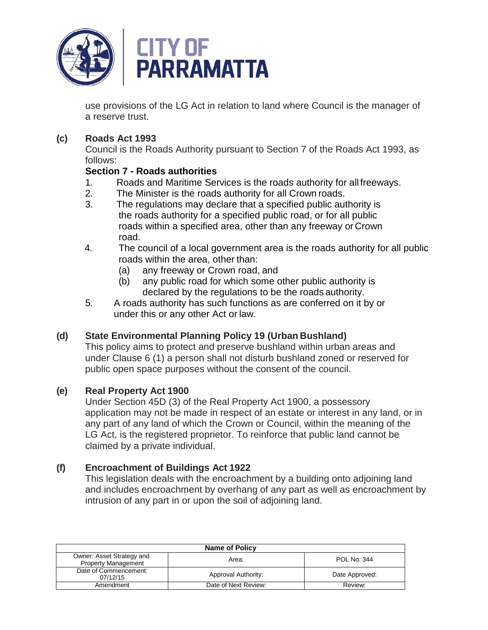

use provisions of the LG Act in relation to land where Council is the manager of a reserve trust.

### **(c) Roads Act 1993**

Council is the Roads Authority pursuant to Section 7 of the Roads Act 1993, as follows:

### **Section 7 - Roads authorities**

- 1. Roads and Maritime Services is the roads authority for all freeways.<br>2. The Minister is the roads authority for all Crown roads.
- The Minister is the roads authority for all Crown roads.
- 3. The regulations may declare that a specified public authority is the roads authority for a specified public road, or for all public roads within a specified area, other than any freeway or Crown road.
- 4. The council of a local government area is the roads authority for all public roads within the area, other than:
	- (a) any freeway or Crown road, and
	- (b) any public road for which some other public authority is declared by the regulations to be the roads authority.
- 5. A roads authority has such functions as are conferred on it by or under this or any other Act or law.

# **(d) State Environmental Planning Policy 19 (Urban Bushland)**

This policy aims to protect and preserve bushland within urban areas and under Clause 6 (1) a person shall not disturb bushland zoned or reserved for public open space purposes without the consent of the council.

# **(e) Real Property Act 1900**

Under Section 45D (3) of the Real Property Act 1900, a possessory application may not be made in respect of an estate or interest in any land, or in any part of any land of which the Crown or Council, within the meaning of the LG Act, is the registered proprietor. To reinforce that public land cannot be claimed by a private individual.

# **(f) Encroachment of Buildings Act 1922**

This legislation deals with the encroachment by a building onto adjoining land and includes encroachment by overhang of any part as well as encroachment by intrusion of any part in or upon the soil of adjoining land.

| <b>Name of Policy</b>                                   |                      |                |  |
|---------------------------------------------------------|----------------------|----------------|--|
| Owner: Asset Strategy and<br><b>Property Management</b> | Area:                | POL No: 344    |  |
| Date of Commencement:<br>07/12/15                       | Approval Authority:  | Date Approved: |  |
| Amendment                                               | Date of Next Review: | Review:        |  |